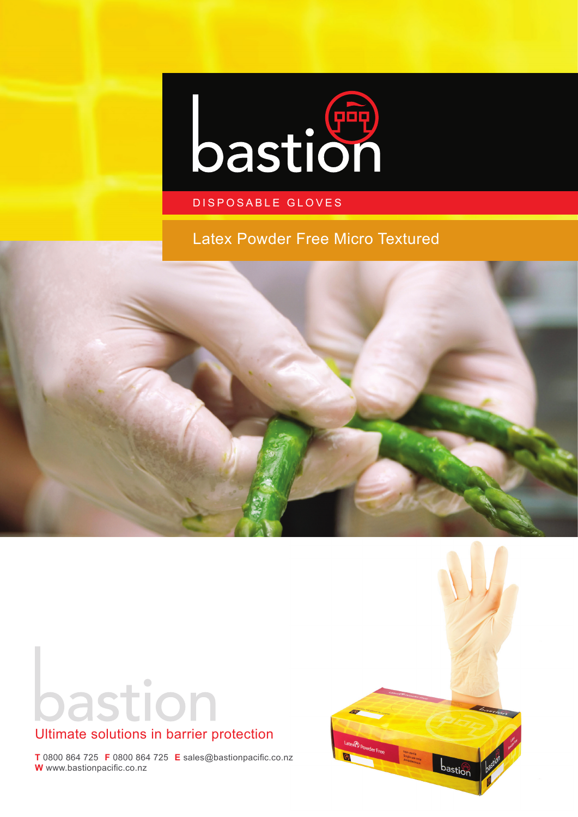

## DISPOSABLE GLOVES

Latex Powder Free Micro Textured



bastion



# Ultimate solutions in barrier protection

**T** 0800 864 725 **F** 0800 864 725 **E** sales@bastionpacific.co.nz **W** www.bastionpacific.co.nz